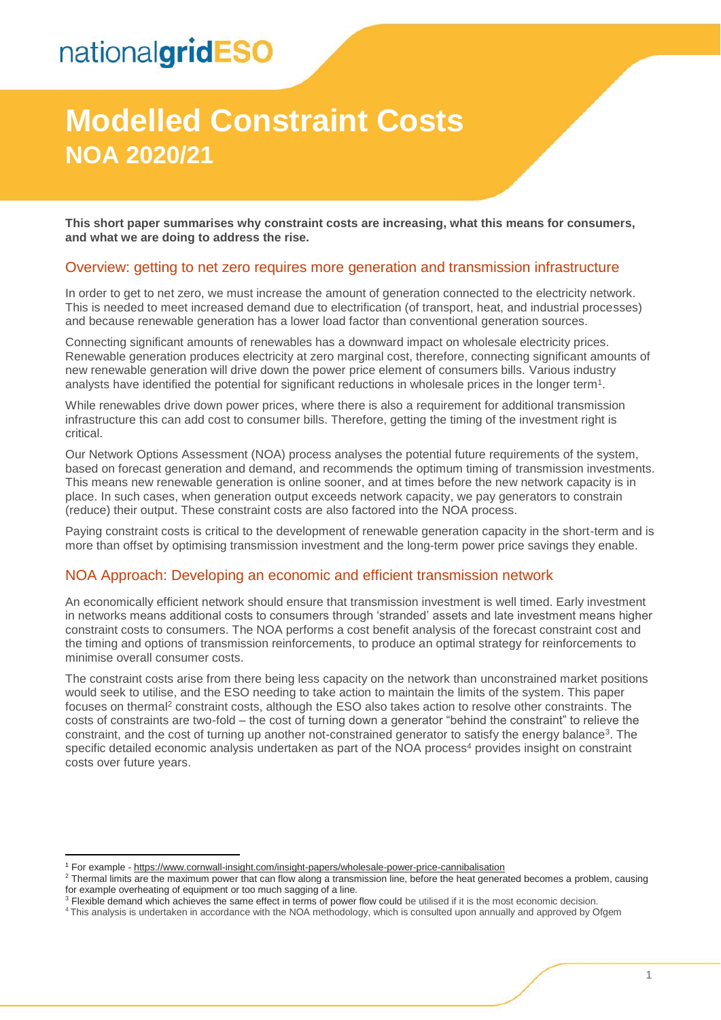# nationalgridESO

## **Modelled Constraint Costs NOA 2020/21**

**This short paper summarises why constraint costs are increasing, what this means for consumers, and what we are doing to address the rise.**

#### Overview: getting to net zero requires more generation and transmission infrastructure

In order to get to net zero, we must increase the amount of generation connected to the electricity network. This is needed to meet increased demand due to electrification (of transport, heat, and industrial processes) and because renewable generation has a lower load factor than conventional generation sources.

Connecting significant amounts of renewables has a downward impact on wholesale electricity prices. Renewable generation produces electricity at zero marginal cost, therefore, connecting significant amounts of new renewable generation will drive down the power price element of consumers bills. Various industry analysts have identified the potential for significant reductions in wholesale prices in the longer term<sup>1</sup>.

While renewables drive down power prices, where there is also a requirement for additional transmission infrastructure this can add cost to consumer bills. Therefore, getting the timing of the investment right is critical.

Our Network Options Assessment (NOA) process analyses the potential future requirements of the system, based on forecast generation and demand, and recommends the optimum timing of transmission investments. This means new renewable generation is online sooner, and at times before the new network capacity is in place. In such cases, when generation output exceeds network capacity, we pay generators to constrain (reduce) their output. These constraint costs are also factored into the NOA process.

Paying constraint costs is critical to the development of renewable generation capacity in the short-term and is more than offset by optimising transmission investment and the long-term power price savings they enable.

### NOA Approach: Developing an economic and efficient transmission network

An economically efficient network should ensure that transmission investment is well timed. Early investment in networks means additional costs to consumers through 'stranded' assets and late investment means higher constraint costs to consumers. The NOA performs a cost benefit analysis of the forecast constraint cost and the timing and options of transmission reinforcements, to produce an optimal strategy for reinforcements to minimise overall consumer costs.

The constraint costs arise from there being less capacity on the network than unconstrained market positions would seek to utilise, and the ESO needing to take action to maintain the limits of the system. This paper focuses on thermal<sup>2</sup> constraint costs, although the ESO also takes action to resolve other constraints. The costs of constraints are two-fold – the cost of turning down a generator "behind the constraint" to relieve the constraint, and the cost of turning up another not-constrained generator to satisfy the energy balance<sup>3</sup>. The specific detailed economic analysis undertaken as part of the NOA process<sup>4</sup> provides insight on constraint costs over future years.

-

<sup>&</sup>lt;sup>1</sup> For example - <https://www.cornwall-insight.com/insight-papers/wholesale-power-price-cannibalisation>

<sup>&</sup>lt;sup>2</sup> Thermal limits are the maximum power that can flow along a transmission line, before the heat generated becomes a problem, causing for example overheating of equipment or too much sagging of a line.

<sup>&</sup>lt;sup>3</sup> Flexible demand which achieves the same effect in terms of power flow could be utilised if it is the most economic decision.

<sup>4</sup> This analysis is undertaken in accordance with th[e NOA methodology,](https://www.nationalgrideso.com/research-publications/network-options-assessment-noa/methodology) which is consulted upon annually and approved by Ofgem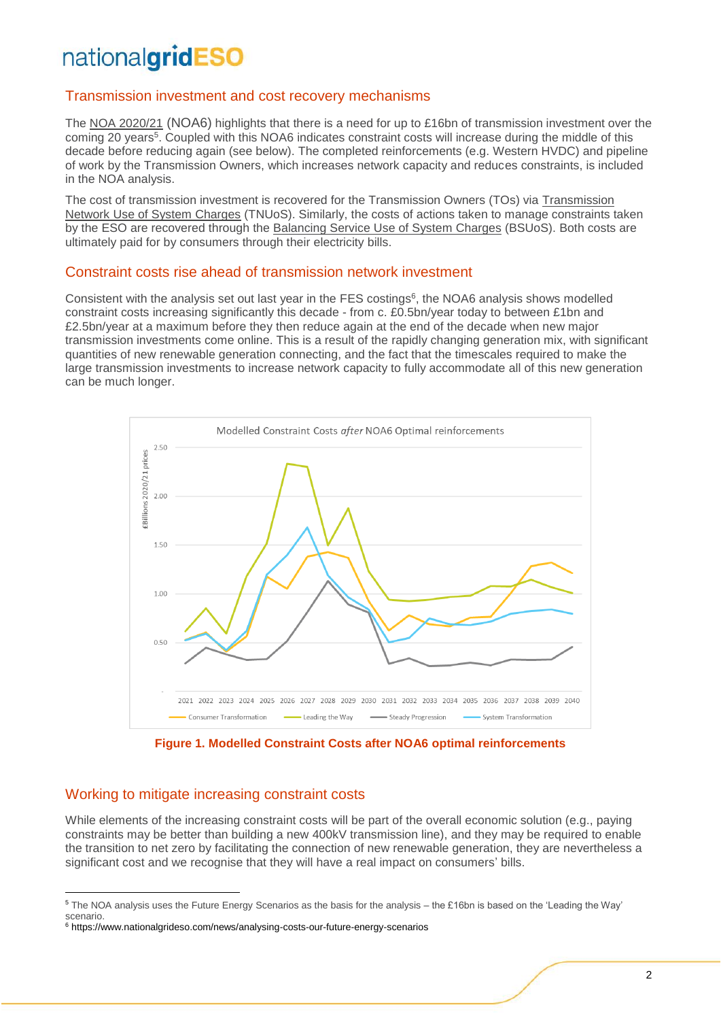### nationalgridESO

### Transmission investment and cost recovery mechanisms

The [NOA 2020/21](https://www.nationalgrideso.com/research-publications/network-options-assessment-noa/methodology) (NOA6) highlights that there is a need for up to £16bn of transmission investment over the coming 20 years<sup>5</sup>. Coupled with this NOA6 indicates constraint costs will increase during the middle of this decade before reducing again (see below). The completed reinforcements (e.g. Western HVDC) and pipeline of work by the Transmission Owners, which increases network capacity and reduces constraints, is included in the NOA analysis.

The cost of transmission investment is recovered for the Transmission Owners (TOs) via [Transmission](https://www.nationalgrideso.com/charging/transmission-network-use-system-tnuos-charges)  [Network Use of System Charges](https://www.nationalgrideso.com/charging/transmission-network-use-system-tnuos-charges) (TNUoS). Similarly, the costs of actions taken to manage constraints taken by the ESO are recovered through the Balancing Service [Use of System Charges](https://www.nationalgrideso.com/industry-information/charging/balancing-services-use-system-bsuos-charges) (BSUoS). Both costs are ultimately paid for by consumers through their electricity bills.

#### Constraint costs rise ahead of transmission network investment

Consistent with the analysis set out last year in the FES costings<sup>6</sup>, the NOA6 analysis shows modelled constraint costs increasing significantly this decade - from c. £0.5bn/year today to between £1bn and £2.5bn/year at a maximum before they then reduce again at the end of the decade when new major transmission investments come online. This is a result of the rapidly changing generation mix, with significant quantities of new renewable generation connecting, and the fact that the timescales required to make the large transmission investments to increase network capacity to fully accommodate all of this new generation can be much longer.



**Figure 1. Modelled Constraint Costs after NOA6 optimal reinforcements**

### Working to mitigate increasing constraint costs

-

While elements of the increasing constraint costs will be part of the overall economic solution (e.g., paying constraints may be better than building a new 400kV transmission line), and they may be required to enable the transition to net zero by facilitating the connection of new renewable generation, they are nevertheless a significant cost and we recognise that they will have a real impact on consumers' bills.

<sup>5</sup> The NOA analysis uses the Future Energy Scenarios as the basis for the analysis – the £16bn is based on the 'Leading the Way' scenario.

<sup>6</sup> https://www.nationalgrideso.com/news/analysing-costs-our-future-energy-scenarios